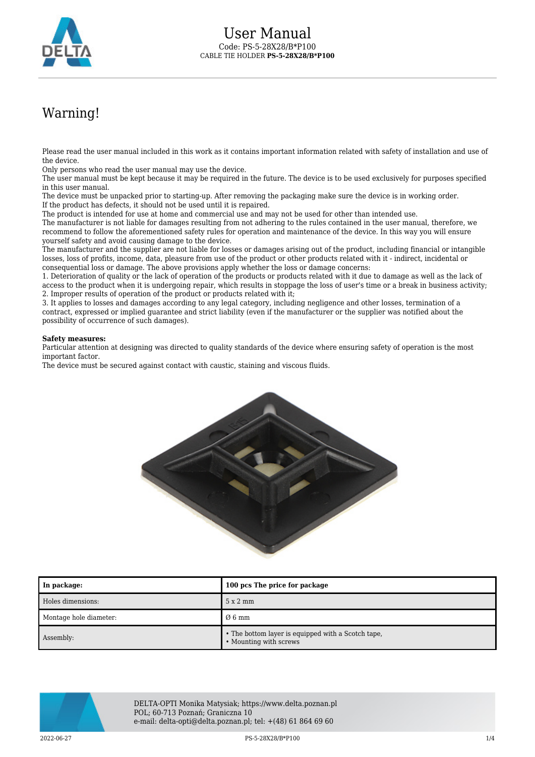

## Warning!

Please read the user manual included in this work as it contains important information related with safety of installation and use of the device.

Only persons who read the user manual may use the device.

The user manual must be kept because it may be required in the future. The device is to be used exclusively for purposes specified in this user manual.

The device must be unpacked prior to starting-up. After removing the packaging make sure the device is in working order. If the product has defects, it should not be used until it is repaired.

The product is intended for use at home and commercial use and may not be used for other than intended use.

The manufacturer is not liable for damages resulting from not adhering to the rules contained in the user manual, therefore, we recommend to follow the aforementioned safety rules for operation and maintenance of the device. In this way you will ensure yourself safety and avoid causing damage to the device.

The manufacturer and the supplier are not liable for losses or damages arising out of the product, including financial or intangible losses, loss of profits, income, data, pleasure from use of the product or other products related with it - indirect, incidental or consequential loss or damage. The above provisions apply whether the loss or damage concerns:

1. Deterioration of quality or the lack of operation of the products or products related with it due to damage as well as the lack of access to the product when it is undergoing repair, which results in stoppage the loss of user's time or a break in business activity; 2. Improper results of operation of the product or products related with it;

3. It applies to losses and damages according to any legal category, including negligence and other losses, termination of a contract, expressed or implied guarantee and strict liability (even if the manufacturer or the supplier was notified about the possibility of occurrence of such damages).

## **Safety measures:**

Particular attention at designing was directed to quality standards of the device where ensuring safety of operation is the most important factor.

The device must be secured against contact with caustic, staining and viscous fluids.



| In package:            | 100 pcs The price for package                                                |
|------------------------|------------------------------------------------------------------------------|
| Holes dimensions:      | 5x2mm                                                                        |
| Montage hole diameter: | $\varnothing$ 6 mm                                                           |
| Assembly:              | • The bottom layer is equipped with a Scotch tape,<br>• Mounting with screws |



DELTA-OPTI Monika Matysiak; https://www.delta.poznan.pl POL; 60-713 Poznań; Graniczna 10 e-mail: delta-opti@delta.poznan.pl; tel: +(48) 61 864 69 60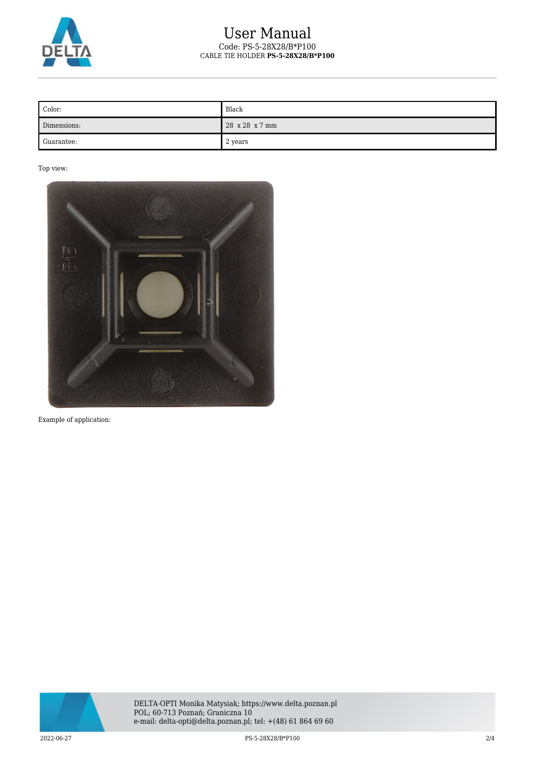

## User Manual Code: PS-5-28X28/B\*P100 CABLE TIE HOLDER **PS-5-28X28/B\*P100**

| Color:      | Black          |
|-------------|----------------|
| Dimensions: | 28 x 28 x 7 mm |
| Guarantee:  | 2 years        |

Top view:



Example of application:

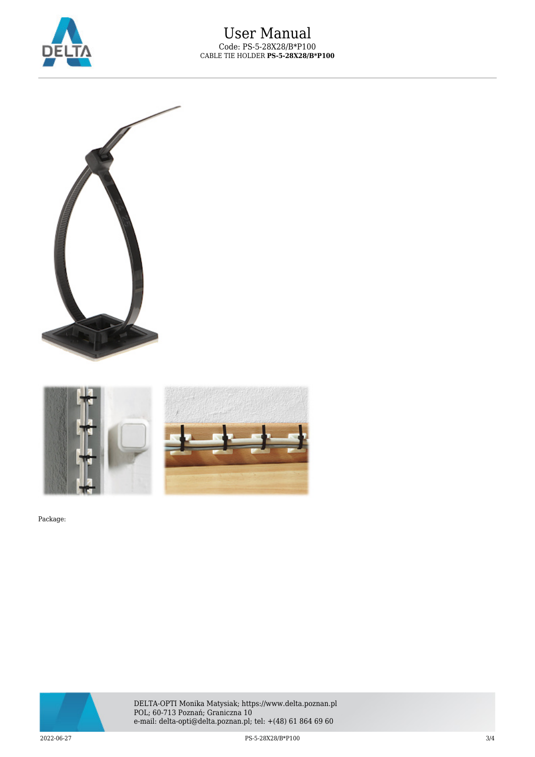





Package:



DELTA-OPTI Monika Matysiak; https://www.delta.poznan.pl POL; 60-713 Poznań; Graniczna 10 e-mail: delta-opti@delta.poznan.pl; tel: +(48) 61 864 69 60

2022-06-27 PS-5-28X28/B\*P100 3/4